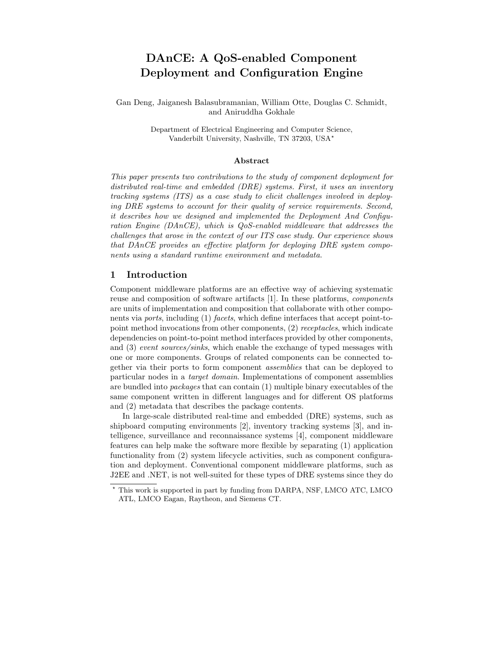# DAnCE: A QoS-enabled Component Deployment and Configuration Engine

Gan Deng, Jaiganesh Balasubramanian, William Otte, Douglas C. Schmidt, and Aniruddha Gokhale

> Department of Electrical Engineering and Computer Science, Vanderbilt University, Nashville, TN 37203, USA<sup>\*</sup>

#### Abstract

This paper presents two contributions to the study of component deployment for distributed real-time and embedded (DRE) systems. First, it uses an inventory tracking systems (ITS) as a case study to elicit challenges involved in deploying DRE systems to account for their quality of service requirements. Second, it describes how we designed and implemented the Deployment And Configuration Engine (DAnCE), which is QoS-enabled middleware that addresses the challenges that arose in the context of our ITS case study. Our experience shows that DAnCE provides an effective platform for deploying DRE system components using a standard runtime environment and metadata.

## 1 Introduction

Component middleware platforms are an effective way of achieving systematic reuse and composition of software artifacts [1]. In these platforms, components are units of implementation and composition that collaborate with other components via *ports*, including (1) *facets*, which define interfaces that accept point-topoint method invocations from other components, (2) receptacles, which indicate dependencies on point-to-point method interfaces provided by other components, and (3) event sources/sinks, which enable the exchange of typed messages with one or more components. Groups of related components can be connected together via their ports to form component assemblies that can be deployed to particular nodes in a target domain. Implementations of component assemblies are bundled into packages that can contain (1) multiple binary executables of the same component written in different languages and for different OS platforms and (2) metadata that describes the package contents.

In large-scale distributed real-time and embedded (DRE) systems, such as shipboard computing environments [2], inventory tracking systems [3], and intelligence, surveillance and reconnaissance systems [4], component middleware features can help make the software more flexible by separating (1) application functionality from (2) system lifecycle activities, such as component configuration and deployment. Conventional component middleware platforms, such as J2EE and .NET, is not well-suited for these types of DRE systems since they do

<sup>?</sup> This work is supported in part by funding from DARPA, NSF, LMCO ATC, LMCO ATL, LMCO Eagan, Raytheon, and Siemens CT.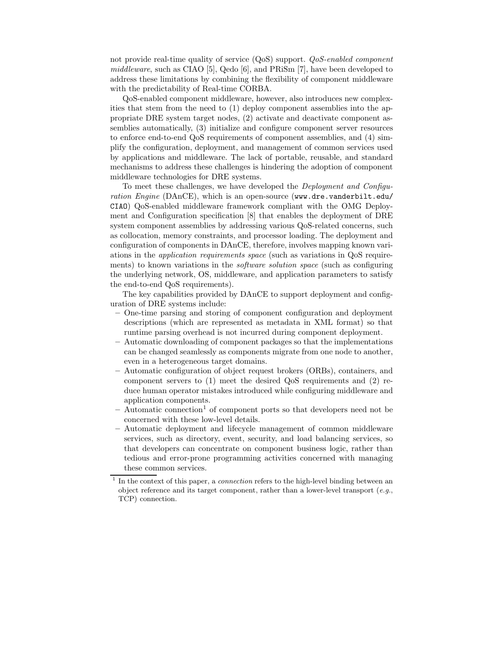not provide real-time quality of service (QoS) support. QoS-enabled component middleware, such as CIAO [5], Qedo [6], and PRiSm [7], have been developed to address these limitations by combining the flexibility of component middleware with the predictability of Real-time CORBA.

QoS-enabled component middleware, however, also introduces new complexities that stem from the need to (1) deploy component assemblies into the appropriate DRE system target nodes, (2) activate and deactivate component assemblies automatically, (3) initialize and configure component server resources to enforce end-to-end QoS requirements of component assemblies, and (4) simplify the configuration, deployment, and management of common services used by applications and middleware. The lack of portable, reusable, and standard mechanisms to address these challenges is hindering the adoption of component middleware technologies for DRE systems.

To meet these challenges, we have developed the Deployment and Configuration Engine ( $D\text{AnCE}$ ), which is an open-source (www.dre.vanderbilt.edu/ CIAO) QoS-enabled middleware framework compliant with the OMG Deployment and Configuration specification [8] that enables the deployment of DRE system component assemblies by addressing various QoS-related concerns, such as collocation, memory constraints, and processor loading. The deployment and configuration of components in DAnCE, therefore, involves mapping known variations in the application requirements space (such as variations in QoS requirements) to known variations in the *software solution space* (such as configuring the underlying network, OS, middleware, and application parameters to satisfy the end-to-end QoS requirements).

The key capabilities provided by DAnCE to support deployment and configuration of DRE systems include:

- One-time parsing and storing of component configuration and deployment descriptions (which are represented as metadata in XML format) so that runtime parsing overhead is not incurred during component deployment.
- Automatic downloading of component packages so that the implementations can be changed seamlessly as components migrate from one node to another, even in a heterogeneous target domains.
- Automatic configuration of object request brokers (ORBs), containers, and component servers to (1) meet the desired QoS requirements and (2) reduce human operator mistakes introduced while configuring middleware and application components.
- Automatic connection<sup>1</sup> of component ports so that developers need not be concerned with these low-level details.
- Automatic deployment and lifecycle management of common middleware services, such as directory, event, security, and load balancing services, so that developers can concentrate on component business logic, rather than tedious and error-prone programming activities concerned with managing these common services.

 $1$  In the context of this paper, a *connection* refers to the high-level binding between an object reference and its target component, rather than a lower-level transport (e.g., TCP) connection.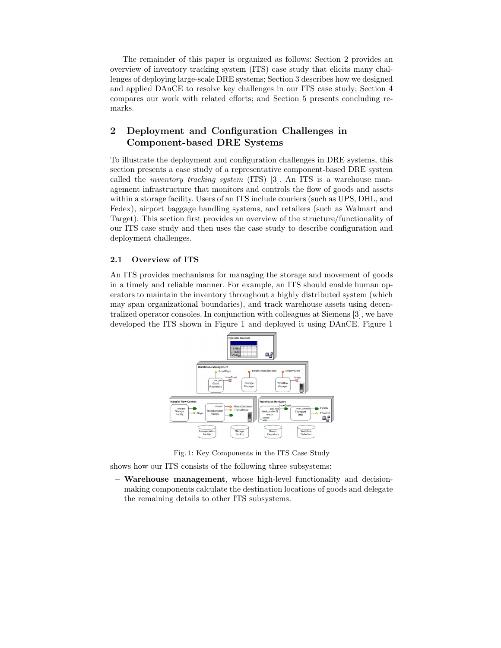The remainder of this paper is organized as follows: Section 2 provides an overview of inventory tracking system (ITS) case study that elicits many challenges of deploying large-scale DRE systems; Section 3 describes how we designed and applied DAnCE to resolve key challenges in our ITS case study; Section 4 compares our work with related efforts; and Section 5 presents concluding remarks.

# 2 Deployment and Configuration Challenges in Component-based DRE Systems

To illustrate the deployment and configuration challenges in DRE systems, this section presents a case study of a representative component-based DRE system called the inventory tracking system (ITS) [3]. An ITS is a warehouse management infrastructure that monitors and controls the flow of goods and assets within a storage facility. Users of an ITS include couriers (such as UPS, DHL, and Fedex), airport baggage handling systems, and retailers (such as Walmart and Target). This section first provides an overview of the structure/functionality of our ITS case study and then uses the case study to describe configuration and deployment challenges.

#### 2.1 Overview of ITS

An ITS provides mechanisms for managing the storage and movement of goods in a timely and reliable manner. For example, an ITS should enable human operators to maintain the inventory throughout a highly distributed system (which may span organizational boundaries), and track warehouse assets using decentralized operator consoles. In conjunction with colleagues at Siemens [3], we have developed the ITS shown in Figure 1 and deployed it using DAnCE. Figure 1



Fig. 1: Key Components in the ITS Case Study

shows how our ITS consists of the following three subsystems:

– Warehouse management, whose high-level functionality and decisionmaking components calculate the destination locations of goods and delegate the remaining details to other ITS subsystems.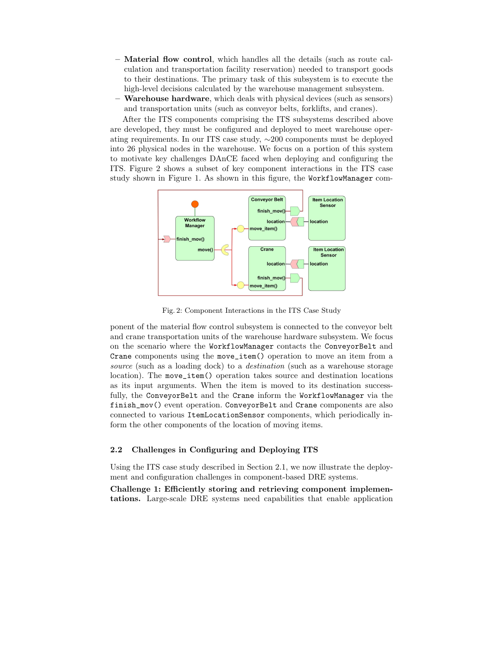- Material flow control, which handles all the details (such as route calculation and transportation facility reservation) needed to transport goods to their destinations. The primary task of this subsystem is to execute the high-level decisions calculated by the warehouse management subsystem.
- Warehouse hardware, which deals with physical devices (such as sensors) and transportation units (such as conveyor belts, forklifts, and cranes).

After the ITS components comprising the ITS subsystems described above are developed, they must be configured and deployed to meet warehouse operating requirements. In our ITS case study, ∼200 components must be deployed into 26 physical nodes in the warehouse. We focus on a portion of this system to motivate key challenges DAnCE faced when deploying and configuring the ITS. Figure 2 shows a subset of key component interactions in the ITS case study shown in Figure 1. As shown in this figure, the WorkflowManager com-



Fig. 2: Component Interactions in the ITS Case Study

ponent of the material flow control subsystem is connected to the conveyor belt and crane transportation units of the warehouse hardware subsystem. We focus on the scenario where the WorkflowManager contacts the ConveyorBelt and Crane components using the move\_item() operation to move an item from a source (such as a loading dock) to a destination (such as a warehouse storage location). The move\_item() operation takes source and destination locations as its input arguments. When the item is moved to its destination successfully, the ConveyorBelt and the Crane inform the WorkflowManager via the finish\_mov() event operation. ConveyorBelt and Crane components are also connected to various ItemLocationSensor components, which periodically inform the other components of the location of moving items.

#### 2.2 Challenges in Configuring and Deploying ITS

Using the ITS case study described in Section 2.1, we now illustrate the deployment and configuration challenges in component-based DRE systems.

Challenge 1: Efficiently storing and retrieving component implementations. Large-scale DRE systems need capabilities that enable application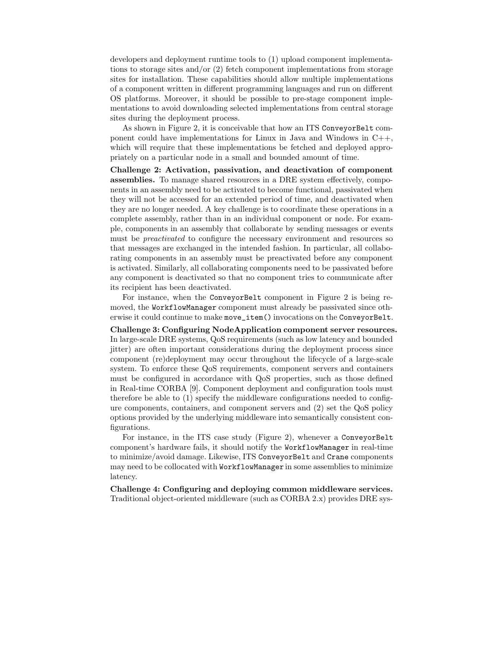developers and deployment runtime tools to (1) upload component implementations to storage sites and/or  $(2)$  fetch component implementations from storage sites for installation. These capabilities should allow multiple implementations of a component written in different programming languages and run on different OS platforms. Moreover, it should be possible to pre-stage component implementations to avoid downloading selected implementations from central storage sites during the deployment process.

As shown in Figure 2, it is conceivable that how an ITS ConveyorBelt component could have implementations for Linux in Java and Windows in  $C_{++}$ , which will require that these implementations be fetched and deployed appropriately on a particular node in a small and bounded amount of time.

Challenge 2: Activation, passivation, and deactivation of component assemblies. To manage shared resources in a DRE system effectively, components in an assembly need to be activated to become functional, passivated when they will not be accessed for an extended period of time, and deactivated when they are no longer needed. A key challenge is to coordinate these operations in a complete assembly, rather than in an individual component or node. For example, components in an assembly that collaborate by sending messages or events must be preactivated to configure the necessary environment and resources so that messages are exchanged in the intended fashion. In particular, all collaborating components in an assembly must be preactivated before any component is activated. Similarly, all collaborating components need to be passivated before any component is deactivated so that no component tries to communicate after its recipient has been deactivated.

For instance, when the ConveyorBelt component in Figure 2 is being removed, the WorkflowManager component must already be passivated since otherwise it could continue to make move\_item() invocations on the ConveyorBelt.

Challenge 3: Configuring NodeApplication component server resources. In large-scale DRE systems, QoS requirements (such as low latency and bounded jitter) are often important considerations during the deployment process since component (re)deployment may occur throughout the lifecycle of a large-scale system. To enforce these QoS requirements, component servers and containers must be configured in accordance with QoS properties, such as those defined in Real-time CORBA [9]. Component deployment and configuration tools must therefore be able to (1) specify the middleware configurations needed to configure components, containers, and component servers and (2) set the QoS policy options provided by the underlying middleware into semantically consistent configurations.

For instance, in the ITS case study (Figure 2), whenever a ConveyorBelt component's hardware fails, it should notify the WorkflowManager in real-time to minimize/avoid damage. Likewise, ITS ConveyorBelt and Crane components may need to be collocated with WorkflowManager in some assemblies to minimize latency.

Challenge 4: Configuring and deploying common middleware services. Traditional object-oriented middleware (such as CORBA 2.x) provides DRE sys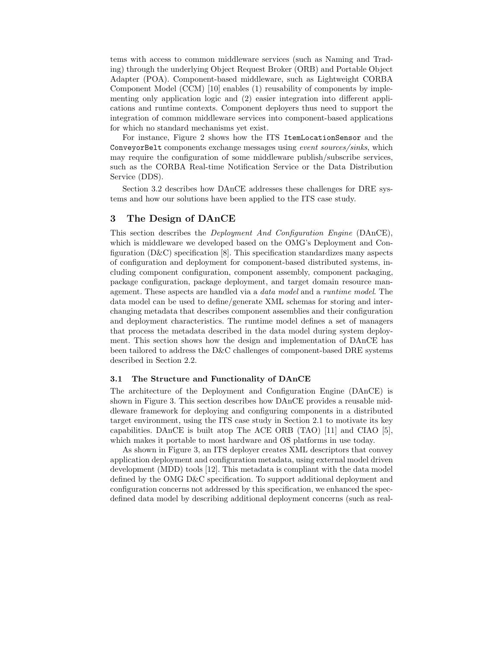tems with access to common middleware services (such as Naming and Trading) through the underlying Object Request Broker (ORB) and Portable Object Adapter (POA). Component-based middleware, such as Lightweight CORBA Component Model (CCM) [10] enables (1) reusability of components by implementing only application logic and (2) easier integration into different applications and runtime contexts. Component deployers thus need to support the integration of common middleware services into component-based applications for which no standard mechanisms yet exist.

For instance, Figure 2 shows how the ITS ItemLocationSensor and the ConveyorBelt components exchange messages using event sources/sinks, which may require the configuration of some middleware publish/subscribe services, such as the CORBA Real-time Notification Service or the Data Distribution Service (DDS).

Section 3.2 describes how DAnCE addresses these challenges for DRE systems and how our solutions have been applied to the ITS case study.

## 3 The Design of DAnCE

This section describes the Deployment And Configuration Engine (DAnCE), which is middleware we developed based on the OMG's Deployment and Configuration  $(D&C)$  specification [8]. This specification standardizes many aspects of configuration and deployment for component-based distributed systems, including component configuration, component assembly, component packaging, package configuration, package deployment, and target domain resource management. These aspects are handled via a data model and a runtime model. The data model can be used to define/generate XML schemas for storing and interchanging metadata that describes component assemblies and their configuration and deployment characteristics. The runtime model defines a set of managers that process the metadata described in the data model during system deployment. This section shows how the design and implementation of DAnCE has been tailored to address the D&C challenges of component-based DRE systems described in Section 2.2.

#### 3.1 The Structure and Functionality of DAnCE

The architecture of the Deployment and Configuration Engine (DAnCE) is shown in Figure 3. This section describes how DAnCE provides a reusable middleware framework for deploying and configuring components in a distributed target environment, using the ITS case study in Section 2.1 to motivate its key capabilities. DAnCE is built atop The ACE ORB (TAO) [11] and CIAO [5], which makes it portable to most hardware and OS platforms in use today.

As shown in Figure 3, an ITS deployer creates XML descriptors that convey application deployment and configuration metadata, using external model driven development (MDD) tools [12]. This metadata is compliant with the data model defined by the OMG D&C specification. To support additional deployment and configuration concerns not addressed by this specification, we enhanced the specdefined data model by describing additional deployment concerns (such as real-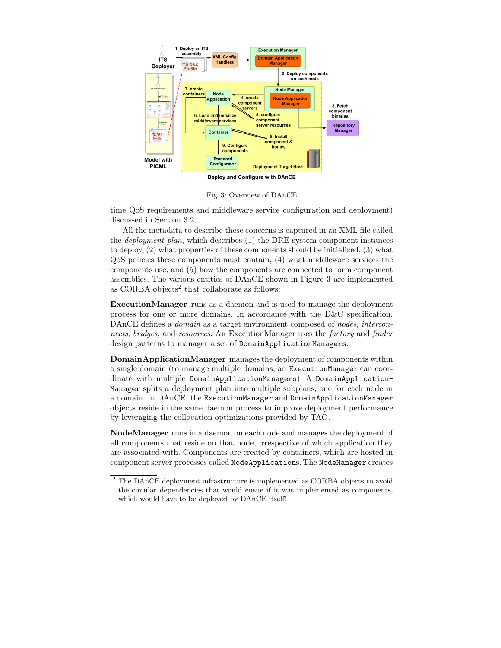

Fig. 3: Overview of DAnCE

time QoS requirements and middleware service configuration and deployment) discussed in Section 3.2.

All the metadata to describe these concerns is captured in an XML file called the deployment plan, which describes (1) the DRE system component instances to deploy, (2) what properties of these components should be initialized, (3) what QoS policies these components must contain, (4) what middleware services the components use, and (5) how the components are connected to form component assemblies. The various entities of DAnCE shown in Figure 3 are implemented as  $CORBA$  objects<sup>2</sup> that collaborate as follows:

ExecutionManager runs as a daemon and is used to manage the deployment process for one or more domains. In accordance with the D&C specification, DAnCE defines a *domain* as a target environment composed of *nodes*, *intercon*nects, bridges, and resources. An ExecutionManager uses the factory and finder design patterns to manager a set of DomainApplicationManagers.

DomainApplicationManager manages the deployment of components within a single domain (to manage multiple domains, an ExecutionManager can coordinate with multiple DomainApplicationManagers). A DomainApplication-Manager splits a deployment plan into multiple subplans, one for each node in a domain. In DAnCE, the ExecutionManager and DomainApplicationManager objects reside in the same daemon process to improve deployment performance by leveraging the collocation optimizations provided by TAO.

NodeManager runs in a daemon on each node and manages the deployment of all components that reside on that node, irrespective of which application they are associated with. Components are created by containers, which are hosted in component server processes called NodeApplications. The NodeManager creates

 $^2$  The DAnCE deployment infrastructure is implemented as CORBA objects to avoid the circular dependencies that would ensue if it was implemented as components, which would have to be deployed by DAnCE itself!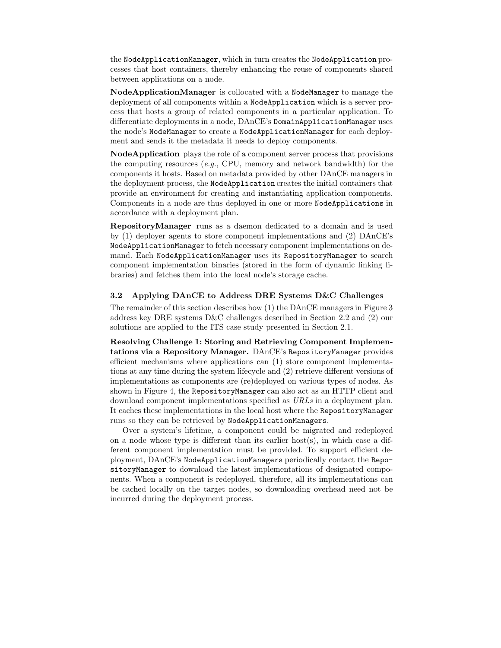the NodeApplicationManager, which in turn creates the NodeApplication processes that host containers, thereby enhancing the reuse of components shared between applications on a node.

NodeApplicationManager is collocated with a NodeManager to manage the deployment of all components within a NodeApplication which is a server process that hosts a group of related components in a particular application. To differentiate deployments in a node, DAnCE's DomainApplicationManager uses the node's NodeManager to create a NodeApplicationManager for each deployment and sends it the metadata it needs to deploy components.

NodeApplication plays the role of a component server process that provisions the computing resources  $(e.g., \text{CPU}, \text{memory}$  and network bandwidth) for the components it hosts. Based on metadata provided by other DAnCE managers in the deployment process, the NodeApplication creates the initial containers that provide an environment for creating and instantiating application components. Components in a node are thus deployed in one or more NodeApplications in accordance with a deployment plan.

RepositoryManager runs as a daemon dedicated to a domain and is used by (1) deployer agents to store component implementations and (2) DAnCE's NodeApplicationManager to fetch necessary component implementations on demand. Each NodeApplicationManager uses its RepositoryManager to search component implementation binaries (stored in the form of dynamic linking libraries) and fetches them into the local node's storage cache.

#### 3.2 Applying DAnCE to Address DRE Systems D&C Challenges

The remainder of this section describes how (1) the DAnCE managers in Figure 3 address key DRE systems D&C challenges described in Section 2.2 and (2) our solutions are applied to the ITS case study presented in Section 2.1.

Resolving Challenge 1: Storing and Retrieving Component Implementations via a Repository Manager. DAnCE's RepositoryManager provides efficient mechanisms where applications can (1) store component implementations at any time during the system lifecycle and (2) retrieve different versions of implementations as components are (re)deployed on various types of nodes. As shown in Figure 4, the RepositoryManager can also act as an HTTP client and download component implementations specified as URLs in a deployment plan. It caches these implementations in the local host where the RepositoryManager runs so they can be retrieved by NodeApplicationManagers.

Over a system's lifetime, a component could be migrated and redeployed on a node whose type is different than its earlier host(s), in which case a different component implementation must be provided. To support efficient deployment, DAnCE's NodeApplicationManagers periodically contact the RepositoryManager to download the latest implementations of designated components. When a component is redeployed, therefore, all its implementations can be cached locally on the target nodes, so downloading overhead need not be incurred during the deployment process.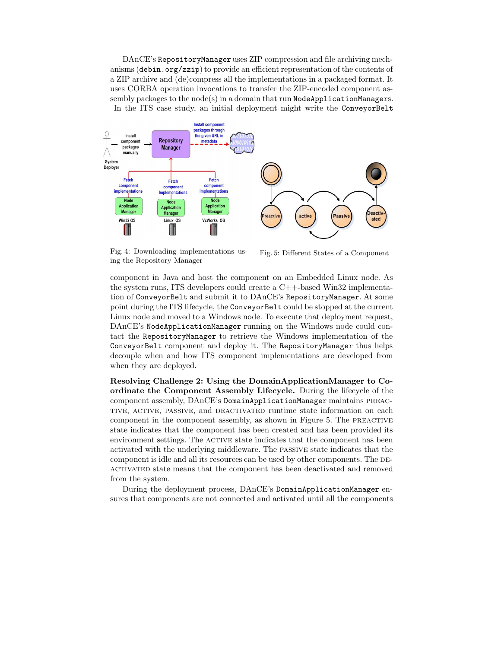DAnCE's RepositoryManager uses ZIP compression and file archiving mechanisms  $(\text{debin.org/zzip})$  to provide an efficient representation of the contents of a ZIP archive and (de)compress all the implementations in a packaged format. It uses CORBA operation invocations to transfer the ZIP-encoded component assembly packages to the node(s) in a domain that run NodeApplicationManagers. In the ITS case study, an initial deployment might write the ConveyorBelt



Fig. 4: Downloading implementations using the Repository Manager

Fig. 5: Different States of a Component

component in Java and host the component on an Embedded Linux node. As the system runs, ITS developers could create a C++-based Win32 implementation of ConveyorBelt and submit it to DAnCE's RepositoryManager. At some point during the ITS lifecycle, the ConveyorBelt could be stopped at the current Linux node and moved to a Windows node. To execute that deployment request, DAnCE's NodeApplicationManager running on the Windows node could contact the RepositoryManager to retrieve the Windows implementation of the ConveyorBelt component and deploy it. The RepositoryManager thus helps decouple when and how ITS component implementations are developed from when they are deployed.

Resolving Challenge 2: Using the DomainApplicationManager to Coordinate the Component Assembly Lifecycle. During the lifecycle of the component assembly, DAnCE's DomainApplicationManager maintains preactive, active, passive, and deactivated runtime state information on each component in the component assembly, as shown in Figure 5. The preactive state indicates that the component has been created and has been provided its environment settings. The ACTIVE state indicates that the component has been activated with the underlying middleware. The passive state indicates that the component is idle and all its resources can be used by other components. The DEactivated state means that the component has been deactivated and removed from the system.

During the deployment process, DAnCE's DomainApplicationManager ensures that components are not connected and activated until all the components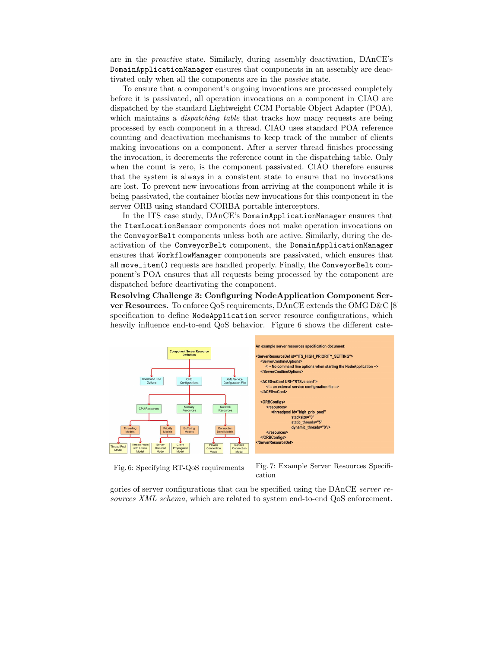are in the preactive state. Similarly, during assembly deactivation, DAnCE's DomainApplicationManager ensures that components in an assembly are deactivated only when all the components are in the passive state.

To ensure that a component's ongoing invocations are processed completely before it is passivated, all operation invocations on a component in CIAO are dispatched by the standard Lightweight CCM Portable Object Adapter (POA), which maintains a *dispatching table* that tracks how many requests are being processed by each component in a thread. CIAO uses standard POA reference counting and deactivation mechanisms to keep track of the number of clients making invocations on a component. After a server thread finishes processing the invocation, it decrements the reference count in the dispatching table. Only when the count is zero, is the component passivated. CIAO therefore ensures that the system is always in a consistent state to ensure that no invocations are lost. To prevent new invocations from arriving at the component while it is being passivated, the container blocks new invocations for this component in the server ORB using standard CORBA portable interceptors.

In the ITS case study, DAnCE's DomainApplicationManager ensures that the ItemLocationSensor components does not make operation invocations on the ConveyorBelt components unless both are active. Similarly, during the deactivation of the ConveyorBelt component, the DomainApplicationManager ensures that WorkflowManager components are passivated, which ensures that all move\_item() requests are handled properly. Finally, the ConveyorBelt component's POA ensures that all requests being processed by the component are dispatched before deactivating the component.

Resolving Challenge 3: Configuring NodeApplication Component Server Resources. To enforce QoS requirements, DAnCE extends the OMG D&C [8] specification to define NodeApplication server resource configurations, which heavily influence end-to-end QoS behavior. Figure 6 shows the different cate-



Fig. 6: Specifying RT-QoS requirements Fig. 7: Example Server Resources Specification

gories of server configurations that can be specified using the DAnCE server resources XML schema, which are related to system end-to-end QoS enforcement.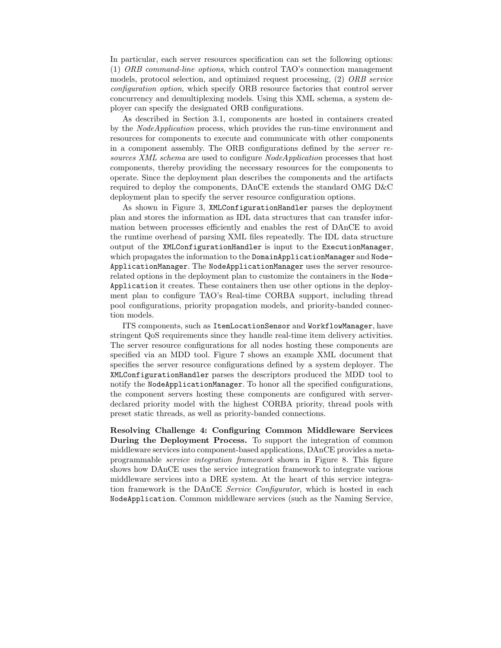In particular, each server resources specification can set the following options: (1) ORB command-line options, which control TAO's connection management models, protocol selection, and optimized request processing, (2) ORB service configuration option, which specify ORB resource factories that control server concurrency and demultiplexing models. Using this XML schema, a system deployer can specify the designated ORB configurations.

As described in Section 3.1, components are hosted in containers created by the NodeApplication process, which provides the run-time environment and resources for components to execute and communicate with other components in a component assembly. The ORB configurations defined by the server resources XML schema are used to configure NodeApplication processes that host components, thereby providing the necessary resources for the components to operate. Since the deployment plan describes the components and the artifacts required to deploy the components, DAnCE extends the standard OMG D&C deployment plan to specify the server resource configuration options.

As shown in Figure 3, XMLConfigurationHandler parses the deployment plan and stores the information as IDL data structures that can transfer information between processes efficiently and enables the rest of DAnCE to avoid the runtime overhead of parsing XML files repeatedly. The IDL data structure output of the XMLConfigurationHandler is input to the ExecutionManager, which propagates the information to the DomainApplicationManager and Node-ApplicationManager. The NodeApplicationManager uses the server resourcerelated options in the deployment plan to customize the containers in the Node-Application it creates. These containers then use other options in the deployment plan to configure TAO's Real-time CORBA support, including thread pool configurations, priority propagation models, and priority-banded connection models.

ITS components, such as ItemLocationSensor and WorkflowManager, have stringent QoS requirements since they handle real-time item delivery activities. The server resource configurations for all nodes hosting these components are specified via an MDD tool. Figure 7 shows an example XML document that specifies the server resource configurations defined by a system deployer. The XMLConfigurationHandler parses the descriptors produced the MDD tool to notify the NodeApplicationManager. To honor all the specified configurations, the component servers hosting these components are configured with serverdeclared priority model with the highest CORBA priority, thread pools with preset static threads, as well as priority-banded connections.

Resolving Challenge 4: Configuring Common Middleware Services During the Deployment Process. To support the integration of common middleware services into component-based applications, DAnCE provides a metaprogrammable service integration framework shown in Figure 8. This figure shows how DAnCE uses the service integration framework to integrate various middleware services into a DRE system. At the heart of this service integration framework is the DAnCE Service Configurator, which is hosted in each NodeApplication. Common middleware services (such as the Naming Service,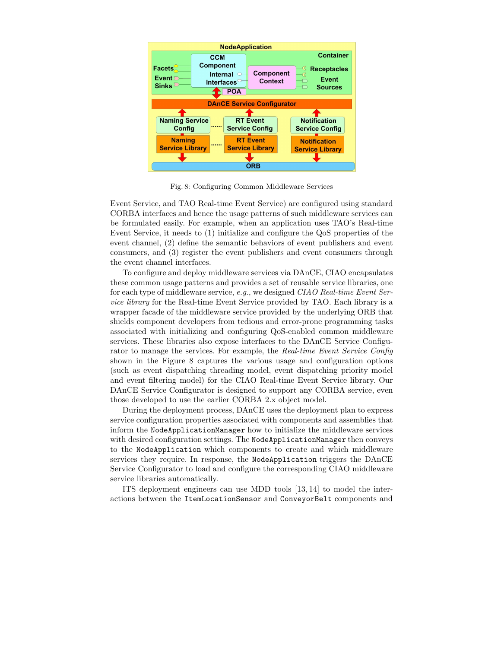

Fig. 8: Configuring Common Middleware Services

Event Service, and TAO Real-time Event Service) are configured using standard CORBA interfaces and hence the usage patterns of such middleware services can be formulated easily. For example, when an application uses TAO's Real-time Event Service, it needs to (1) initialize and configure the QoS properties of the event channel, (2) define the semantic behaviors of event publishers and event consumers, and (3) register the event publishers and event consumers through the event channel interfaces.

To configure and deploy middleware services via DAnCE, CIAO encapsulates these common usage patterns and provides a set of reusable service libraries, one for each type of middleware service, e.g., we designed CIAO Real-time Event Service library for the Real-time Event Service provided by TAO. Each library is a wrapper facade of the middleware service provided by the underlying ORB that shields component developers from tedious and error-prone programming tasks associated with initializing and configuring QoS-enabled common middleware services. These libraries also expose interfaces to the DAnCE Service Configurator to manage the services. For example, the Real-time Event Service Config shown in the Figure 8 captures the various usage and configuration options (such as event dispatching threading model, event dispatching priority model and event filtering model) for the CIAO Real-time Event Service library. Our DAnCE Service Configurator is designed to support any CORBA service, even those developed to use the earlier CORBA 2.x object model.

During the deployment process, DAnCE uses the deployment plan to express service configuration properties associated with components and assemblies that inform the NodeApplicationManager how to initialize the middleware services with desired configuration settings. The NodeApplicationManager then conveys to the NodeApplication which components to create and which middleware services they require. In response, the NodeApplication triggers the DAnCE Service Configurator to load and configure the corresponding CIAO middleware service libraries automatically.

ITS deployment engineers can use MDD tools [13, 14] to model the interactions between the ItemLocationSensor and ConveyorBelt components and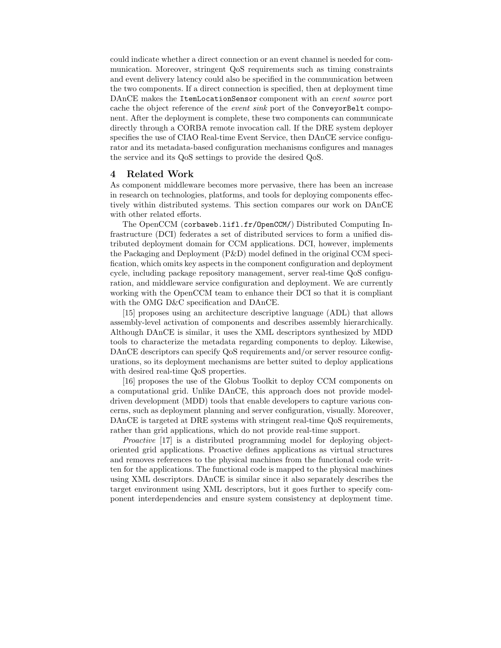could indicate whether a direct connection or an event channel is needed for communication. Moreover, stringent QoS requirements such as timing constraints and event delivery latency could also be specified in the communication between the two components. If a direct connection is specified, then at deployment time DAnCE makes the ItemLocationSensor component with an event source port cache the object reference of the event sink port of the ConveyorBelt component. After the deployment is complete, these two components can communicate directly through a CORBA remote invocation call. If the DRE system deployer specifies the use of CIAO Real-time Event Service, then DAnCE service configurator and its metadata-based configuration mechanisms configures and manages the service and its QoS settings to provide the desired QoS.

### 4 Related Work

As component middleware becomes more pervasive, there has been an increase in research on technologies, platforms, and tools for deploying components effectively within distributed systems. This section compares our work on DAnCE with other related efforts.

The OpenCCM (corbaweb.lifl.fr/OpenCCM/) Distributed Computing Infrastructure (DCI) federates a set of distributed services to form a unified distributed deployment domain for CCM applications. DCI, however, implements the Packaging and Deployment (P&D) model defined in the original CCM specification, which omits key aspects in the component configuration and deployment cycle, including package repository management, server real-time QoS configuration, and middleware service configuration and deployment. We are currently working with the OpenCCM team to enhance their DCI so that it is compliant with the OMG D&C specification and DAnCE.

[15] proposes using an architecture descriptive language (ADL) that allows assembly-level activation of components and describes assembly hierarchically. Although DAnCE is similar, it uses the XML descriptors synthesized by MDD tools to characterize the metadata regarding components to deploy. Likewise, DAnCE descriptors can specify QoS requirements and/or server resource configurations, so its deployment mechanisms are better suited to deploy applications with desired real-time  $QoS$  properties.

[16] proposes the use of the Globus Toolkit to deploy CCM components on a computational grid. Unlike DAnCE, this approach does not provide modeldriven development (MDD) tools that enable developers to capture various concerns, such as deployment planning and server configuration, visually. Moreover, DAnCE is targeted at DRE systems with stringent real-time QoS requirements, rather than grid applications, which do not provide real-time support.

Proactive [17] is a distributed programming model for deploying objectoriented grid applications. Proactive defines applications as virtual structures and removes references to the physical machines from the functional code written for the applications. The functional code is mapped to the physical machines using XML descriptors. DAnCE is similar since it also separately describes the target environment using XML descriptors, but it goes further to specify component interdependencies and ensure system consistency at deployment time.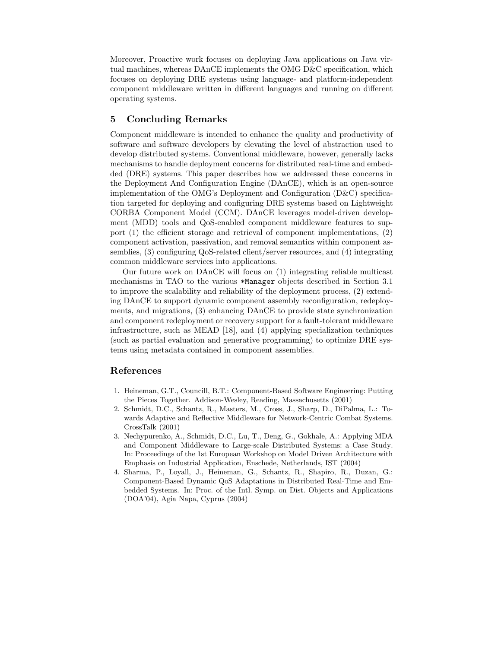Moreover, Proactive work focuses on deploying Java applications on Java virtual machines, whereas DAnCE implements the OMG D&C specification, which focuses on deploying DRE systems using language- and platform-independent component middleware written in different languages and running on different operating systems.

# 5 Concluding Remarks

Component middleware is intended to enhance the quality and productivity of software and software developers by elevating the level of abstraction used to develop distributed systems. Conventional middleware, however, generally lacks mechanisms to handle deployment concerns for distributed real-time and embedded (DRE) systems. This paper describes how we addressed these concerns in the Deployment And Configuration Engine (DAnCE), which is an open-source implementation of the OMG's Deployment and Configuration (D&C) specification targeted for deploying and configuring DRE systems based on Lightweight CORBA Component Model (CCM). DAnCE leverages model-driven development (MDD) tools and QoS-enabled component middleware features to support  $(1)$  the efficient storage and retrieval of component implementations,  $(2)$ component activation, passivation, and removal semantics within component assemblies, (3) configuring QoS-related client/server resources, and (4) integrating common middleware services into applications.

Our future work on DAnCE will focus on (1) integrating reliable multicast mechanisms in TAO to the various \*Manager objects described in Section 3.1 to improve the scalability and reliability of the deployment process, (2) extending DAnCE to support dynamic component assembly reconfiguration, redeployments, and migrations, (3) enhancing DAnCE to provide state synchronization and component redeployment or recovery support for a fault-tolerant middleware infrastructure, such as MEAD [18], and (4) applying specialization techniques (such as partial evaluation and generative programming) to optimize DRE systems using metadata contained in component assemblies.

# References

- 1. Heineman, G.T., Councill, B.T.: Component-Based Software Engineering: Putting the Pieces Together. Addison-Wesley, Reading, Massachusetts (2001)
- 2. Schmidt, D.C., Schantz, R., Masters, M., Cross, J., Sharp, D., DiPalma, L.: Towards Adaptive and Reflective Middleware for Network-Centric Combat Systems. CrossTalk (2001)
- 3. Nechypurenko, A., Schmidt, D.C., Lu, T., Deng, G., Gokhale, A.: Applying MDA and Component Middleware to Large-scale Distributed Systems: a Case Study. In: Proceedings of the 1st European Workshop on Model Driven Architecture with Emphasis on Industrial Application, Enschede, Netherlands, IST (2004)
- 4. Sharma, P., Loyall, J., Heineman, G., Schantz, R., Shapiro, R., Duzan, G.: Component-Based Dynamic QoS Adaptations in Distributed Real-Time and Embedded Systems. In: Proc. of the Intl. Symp. on Dist. Objects and Applications (DOA'04), Agia Napa, Cyprus (2004)